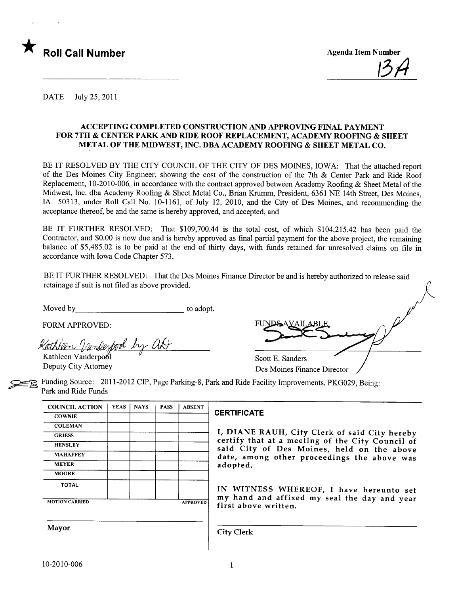

<u>1974</u>

DATE July 25,2011

### ACCEPTING COMPLETED CONSTRUCTION AND APPROVING FINAL PAYMENT FOR 7TH & CENTER PARK AND RIDE ROOF REPLACEMENT, ACADEMY ROOFING & SHEET METAL OF THE MIDWEST, INC. DBA ACADEMY ROOFING & SHEET METAL CO.

BE IT RESOLVED BY THE CITY COUNCIL OF THE CITY OF DES MOINES, IOWA: That the attached report of the Des Moines City Engineer, showing the cost of the construction of the 7th & Center Park and Ride Roof Replacement, 10-2010-006, in accordance with the contract approved between Academy Roofing & Sheet Metal of the Midwest, Inc. dba Academy Roofing & Sheet Metal Co., Brian Krmm, President, 6361 NE 14th Street, Des Moines, IA 50313, under Roll Call No. 10-1161, of July 12, 2010, and the City of Des Moines, and recommending the acceptance thereof, be and the same is hereby approved, and accepted, and

BE IT FURTHER RESOLVED: That \$109,700.44 is the total cost, of which \$104,215.42 has been paid the Contractor, and \$0.00 is now due and is hereby approved as final partial payment for the above project, the remaining balance of \$5,485.02 is to be paid at the end of thirty days, with funds retained for unresolved claims on file in accordance with Iowa Code Chapter 573.

BE IT FURTHER RESOLVED: That the Des Moines Finance Director be and is hereby authorized to release said retainage if suit is not fied as above provided.

Moved by to adopt.

FORM APPROVED:

Kathleen Vandexpool by at

Kathleen Vanderpool Deputy City Attorney Scott E. Sanders  $\sqrt{\frac{2}{1}}$ 

Des Moines Finance Director

Funding Source: 2011-2012 CIP, Page Parking-8, Park and Ride Facility Improvements, PKG029, Being: Park and Ride Funds

| <b>COUNCIL ACTION</b> | <b>YEAS</b>          | <b>NAYS</b> | <b>PASS</b> | <b>ABSENT</b> |                                                            |
|-----------------------|----------------------|-------------|-------------|---------------|------------------------------------------------------------|
| <b>COWNIE</b>         |                      |             |             |               | <b>CERTIFICA</b>                                           |
| <b>COLEMAN</b>        |                      |             |             |               |                                                            |
| <b>GRIESS</b>         |                      |             |             |               | I, DIANI<br>certify tl<br>said Cit<br>date, am<br>adopted. |
| <b>HENSLEY</b>        |                      |             |             |               |                                                            |
| <b>MAHAFFEY</b>       |                      |             |             |               |                                                            |
| <b>MEYER</b>          |                      |             |             |               |                                                            |
| <b>MOORE</b>          |                      |             |             |               |                                                            |
| <b>TOTAL</b>          |                      |             |             |               | IN WITI                                                    |
| <b>MOTION CARRIED</b> | my hand<br>first abo |             |             |               |                                                            |
| <b>Mayor</b>          |                      |             |             |               | <b>City Clerk</b>                                          |
|                       |                      |             |             |               |                                                            |

### **CERTIFICATE**

I, DIANE RAUH, City Clerk of said City hereby certify that at a meeting of the City Council of said City of Des Moines, held on the above date, among other proceedings the above was adopted.

IN WITNESS WHEREOF, I have hereunto set my hand and affixed my seal the day and year first above written.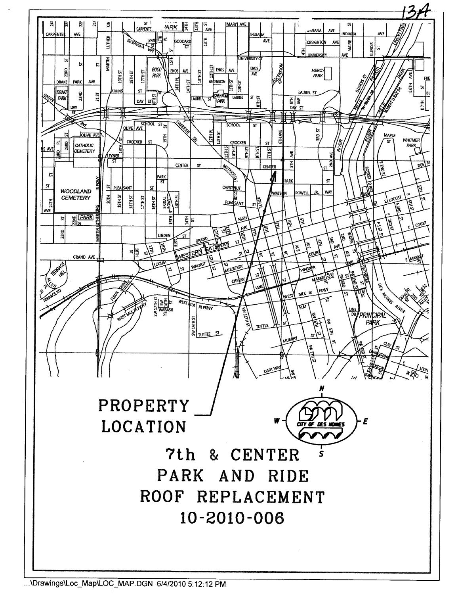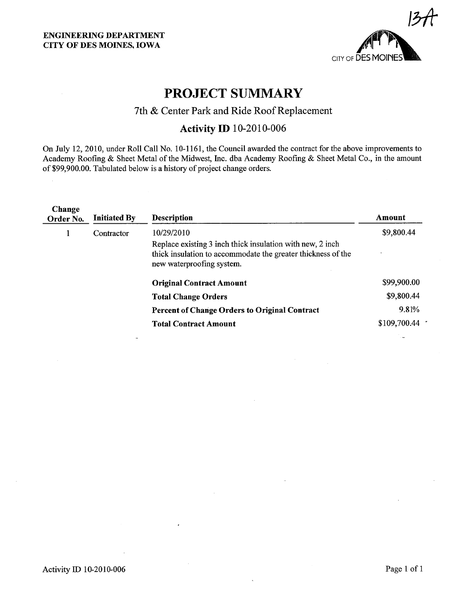

# PROJECT SUMMARY

## 7th & Center Park and Ride Roof Replacement

# Activity ID 10-2010-006

On July 12,2010, under Roll Call No. 10-1161, the Council awarded the contract for the above improvements to Academy Roofing & Sheet Metal of the Midwest, Inc. dba Academy Roofing & Sheet Metal Co., in the amount of \$99,900.00. Tabulated below is a history of project change orders.

| Change<br>Order No. | <b>Initiated By</b> | <b>Description</b>                                                                                                                                      | Amount       |
|---------------------|---------------------|---------------------------------------------------------------------------------------------------------------------------------------------------------|--------------|
|                     | Contractor          | 10/29/2010                                                                                                                                              | \$9,800.44   |
|                     |                     | Replace existing 3 inch thick insulation with new, 2 inch.<br>thick insulation to accommodate the greater thickness of the<br>new waterproofing system. |              |
|                     |                     | <b>Original Contract Amount</b>                                                                                                                         | \$99,900.00  |
|                     |                     | <b>Total Change Orders</b>                                                                                                                              | \$9,800.44   |
|                     |                     | <b>Percent of Change Orders to Original Contract</b>                                                                                                    | 9.81%        |
|                     |                     | <b>Total Contract Amount</b>                                                                                                                            | \$109,700.44 |
|                     |                     |                                                                                                                                                         |              |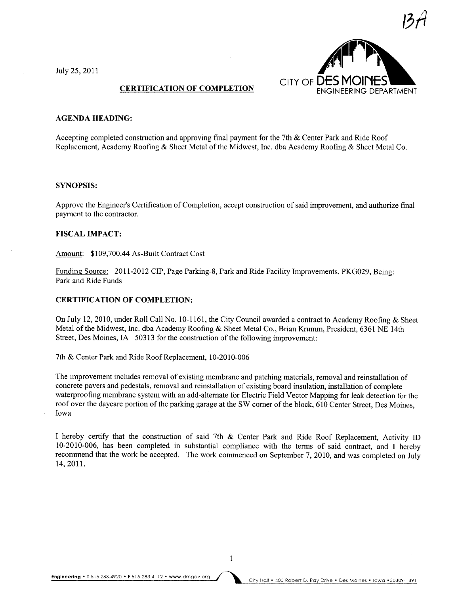July 25,2011



### AGENDA HEADING:

Accepting completed construction and approving final payment for the 7th & Center Park and Ride Roof Replacement, Academy Roofing & Sheet Metal of the Midwest, Inc. dba Academy Roofing & Sheet Metal Co.

### SYNOPSIS:

Approve the Engineer's Certification of Completion, accept construction of said improvement, and authorize final payment to the contractor.

### FISCAL IMPACT:

Amount: \$109,700.44 As-Built Contract Cost

Funding Source: 2011-2012 CIP, Page Parking-8, Park and Ride Facility Improvements, PKG029, Being: Park and Ride Funds

### CERTIFICATION OF COMPLETION:

On July 12,2010, under Roll Call No. 10-1161, the City Council awarded a contract to Academy Roofing & Sheet Metal of the Midwest, Inc. dba Academy Roofing & Sheet Metal Co., Brian Krumm, President, 6361 NE 14th Street, Des Moines, IA 50313 for the construction of the following improvement:

7th & Center Park and Ride Roof Replacement, 10-2010-006

The improvement includes removal of existing membrane and patching materials, removal and reinstallation of concrete pavers and pedestals, removal and reinstallation of existing board insulation, installation of complete waterproofing membrane system with an add-alternate for Electric Field Vector Mapping for leak detection for the roof over the daycare portion of the parking garage at the SW corner of the block, 610 Center Street, Des Moines, Iowa

I hereby certify that the construction of said 7th & Center Park and Ride Roof Replacement, Activity ID 10-2010-006, has been completed in substantial compliance with the terms of said contract, and I hereby recommend that the work be accepted. The work commenced on September 7, 2010, and was completed on July 14,2011.